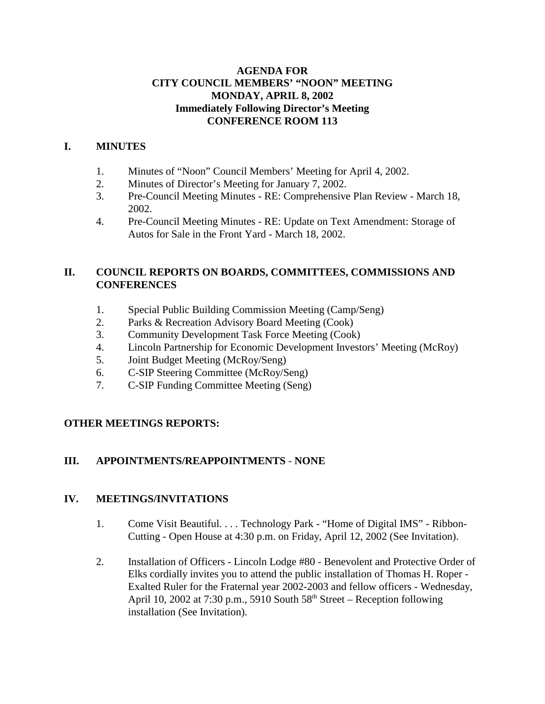## **AGENDA FOR CITY COUNCIL MEMBERS' "NOON" MEETING MONDAY, APRIL 8, 2002 Immediately Following Director's Meeting CONFERENCE ROOM 113**

## **I. MINUTES**

- 1. Minutes of "Noon" Council Members' Meeting for April 4, 2002.
- 2. Minutes of Director's Meeting for January 7, 2002.
- 3. Pre-Council Meeting Minutes RE: Comprehensive Plan Review March 18, 2002.
- 4. Pre-Council Meeting Minutes RE: Update on Text Amendment: Storage of Autos for Sale in the Front Yard - March 18, 2002.

## **II. COUNCIL REPORTS ON BOARDS, COMMITTEES, COMMISSIONS AND CONFERENCES**

- 1. Special Public Building Commission Meeting (Camp/Seng)
- 2. Parks & Recreation Advisory Board Meeting (Cook)
- 3. Community Development Task Force Meeting (Cook)
- 4. Lincoln Partnership for Economic Development Investors' Meeting (McRoy)
- 5. Joint Budget Meeting (McRoy/Seng)
- 6. C-SIP Steering Committee (McRoy/Seng)
- 7. C-SIP Funding Committee Meeting (Seng)

## **OTHER MEETINGS REPORTS:**

## **III. APPOINTMENTS/REAPPOINTMENTS** - **NONE**

## **IV. MEETINGS/INVITATIONS**

- 1. Come Visit Beautiful. . . . Technology Park "Home of Digital IMS" Ribbon-Cutting - Open House at 4:30 p.m. on Friday, April 12, 2002 (See Invitation).
- 2. Installation of Officers Lincoln Lodge #80 Benevolent and Protective Order of Elks cordially invites you to attend the public installation of Thomas H. Roper - Exalted Ruler for the Fraternal year 2002-2003 and fellow officers - Wednesday, April 10, 2002 at 7:30 p.m., 5910 South  $58<sup>th</sup>$  Street – Reception following installation (See Invitation).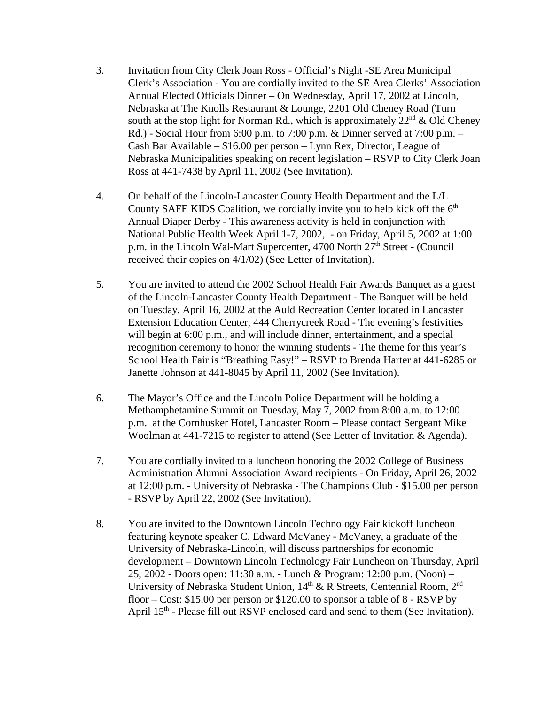- 3. Invitation from City Clerk Joan Ross Official's Night -SE Area Municipal Clerk's Association - You are cordially invited to the SE Area Clerks' Association Annual Elected Officials Dinner – On Wednesday, April 17, 2002 at Lincoln, Nebraska at The Knolls Restaurant & Lounge, 2201 Old Cheney Road (Turn south at the stop light for Norman Rd., which is approximately  $22<sup>nd</sup>$  & Old Cheney Rd.) - Social Hour from 6:00 p.m. to 7:00 p.m. & Dinner served at 7:00 p.m. – Cash Bar Available – \$16.00 per person – Lynn Rex, Director, League of Nebraska Municipalities speaking on recent legislation – RSVP to City Clerk Joan Ross at 441-7438 by April 11, 2002 (See Invitation).
- 4. On behalf of the Lincoln-Lancaster County Health Department and the L/L County SAFE KIDS Coalition, we cordially invite you to help kick off the  $6<sup>th</sup>$ Annual Diaper Derby - This awareness activity is held in conjunction with National Public Health Week April 1-7, 2002, - on Friday, April 5, 2002 at 1:00 p.m. in the Lincoln Wal-Mart Supercenter, 4700 North 27<sup>th</sup> Street - (Council received their copies on 4/1/02) (See Letter of Invitation).
- 5. You are invited to attend the 2002 School Health Fair Awards Banquet as a guest of the Lincoln-Lancaster County Health Department - The Banquet will be held on Tuesday, April 16, 2002 at the Auld Recreation Center located in Lancaster Extension Education Center, 444 Cherrycreek Road - The evening's festivities will begin at 6:00 p.m., and will include dinner, entertainment, and a special recognition ceremony to honor the winning students - The theme for this year's School Health Fair is "Breathing Easy!" – RSVP to Brenda Harter at 441-6285 or Janette Johnson at 441-8045 by April 11, 2002 (See Invitation).
- 6. The Mayor's Office and the Lincoln Police Department will be holding a Methamphetamine Summit on Tuesday, May 7, 2002 from 8:00 a.m. to 12:00 p.m. at the Cornhusker Hotel, Lancaster Room – Please contact Sergeant Mike Woolman at 441-7215 to register to attend (See Letter of Invitation & Agenda).
- 7. You are cordially invited to a luncheon honoring the 2002 College of Business Administration Alumni Association Award recipients - On Friday, April 26, 2002 at 12:00 p.m. - University of Nebraska - The Champions Club - \$15.00 per person - RSVP by April 22, 2002 (See Invitation).
- 8. You are invited to the Downtown Lincoln Technology Fair kickoff luncheon featuring keynote speaker C. Edward McVaney - McVaney, a graduate of the University of Nebraska-Lincoln, will discuss partnerships for economic development – Downtown Lincoln Technology Fair Luncheon on Thursday, April 25, 2002 - Doors open: 11:30 a.m. - Lunch & Program: 12:00 p.m. (Noon) – University of Nebraska Student Union, 14<sup>th</sup> & R Streets, Centennial Room, 2<sup>nd</sup> floor – Cost: \$15.00 per person or \$120.00 to sponsor a table of 8 - RSVP by April 15<sup>th</sup> - Please fill out RSVP enclosed card and send to them (See Invitation).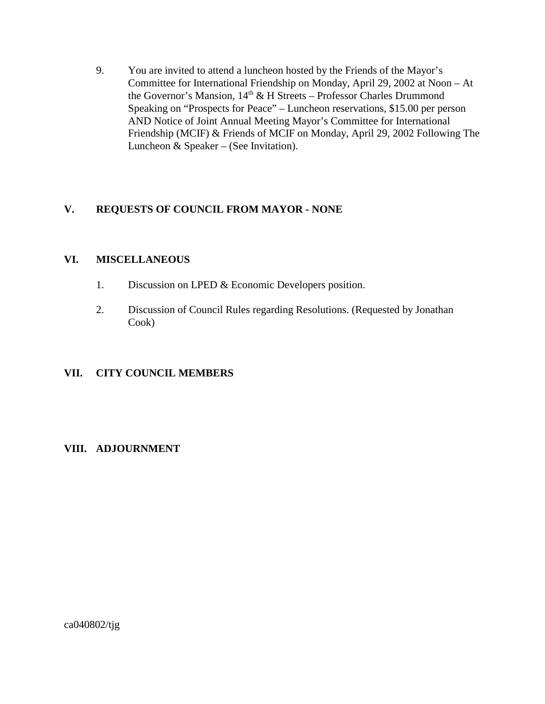9. You are invited to attend a luncheon hosted by the Friends of the Mayor's Committee for International Friendship on Monday, April 29, 2002 at Noon – At the Governor's Mansion, 14<sup>th</sup> & H Streets – Professor Charles Drummond Speaking on "Prospects for Peace" – Luncheon reservations, \$15.00 per person AND Notice of Joint Annual Meeting Mayor's Committee for International Friendship (MCIF) & Friends of MCIF on Monday, April 29, 2002 Following The Luncheon & Speaker – (See Invitation).

## **V. REQUESTS OF COUNCIL FROM MAYOR - NONE**

#### **VI. MISCELLANEOUS**

- 1. Discussion on LPED & Economic Developers position.
- 2. Discussion of Council Rules regarding Resolutions. (Requested by Jonathan Cook)

## **VII. CITY COUNCIL MEMBERS**

## **VIII. ADJOURNMENT**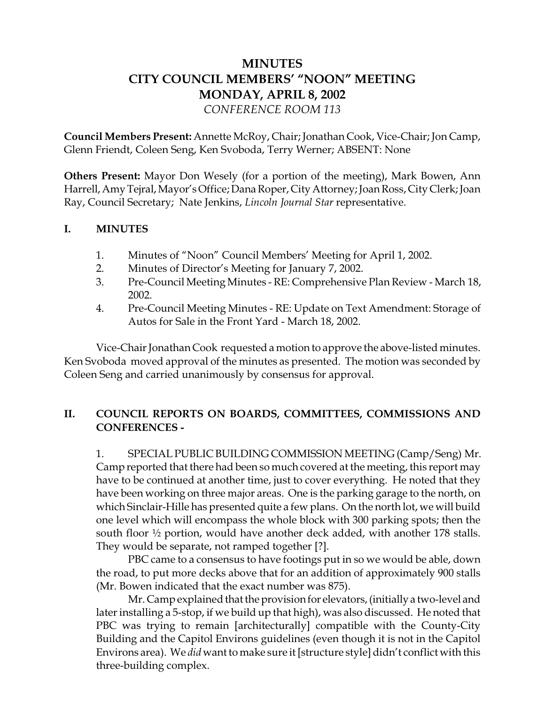# **MINUTES CITY COUNCIL MEMBERS' "NOON" MEETING MONDAY, APRIL 8, 2002** *CONFERENCE ROOM 113*

**Council Members Present:** Annette McRoy, Chair; Jonathan Cook, Vice-Chair; Jon Camp, Glenn Friendt, Coleen Seng, Ken Svoboda, Terry Werner; ABSENT: None

**Others Present:** Mayor Don Wesely (for a portion of the meeting), Mark Bowen, Ann Harrell, Amy Tejral, Mayor's Office; Dana Roper, City Attorney; Joan Ross, City Clerk; Joan Ray, Council Secretary; Nate Jenkins, *Lincoln Journal Star* representative.

## **I. MINUTES**

- 1. Minutes of "Noon" Council Members' Meeting for April 1, 2002.
- 2. Minutes of Director's Meeting for January 7, 2002.
- 3. Pre-Council Meeting Minutes RE: Comprehensive Plan Review March 18, 2002.
- 4. Pre-Council Meeting Minutes RE: Update on Text Amendment: Storage of Autos for Sale in the Front Yard - March 18, 2002.

Vice-Chair Jonathan Cook requested a motion to approve the above-listed minutes. Ken Svoboda moved approval of the minutes as presented. The motion was seconded by Coleen Seng and carried unanimously by consensus for approval.

# **II. COUNCIL REPORTS ON BOARDS, COMMITTEES, COMMISSIONS AND CONFERENCES -**

1. SPECIAL PUBLIC BUILDING COMMISSION MEETING (Camp/Seng) Mr. Camp reported that there had been so much covered at the meeting, this report may have to be continued at another time, just to cover everything. He noted that they have been working on three major areas. One is the parking garage to the north, on which Sinclair-Hille has presented quite a few plans. On the north lot, we will build one level which will encompass the whole block with 300 parking spots; then the south floor ½ portion, would have another deck added, with another 178 stalls. They would be separate, not ramped together [?].

PBC came to a consensus to have footings put in so we would be able, down the road, to put more decks above that for an addition of approximately 900 stalls (Mr. Bowen indicated that the exact number was 875).

Mr. Camp explained that the provision for elevators, (initially a two-level and later installing a 5-stop, if we build up that high), was also discussed. He noted that PBC was trying to remain [architecturally] compatible with the County-City Building and the Capitol Environs guidelines (even though it is not in the Capitol Environs area). We *did* want to make sure it [structure style] didn't conflict with this three-building complex.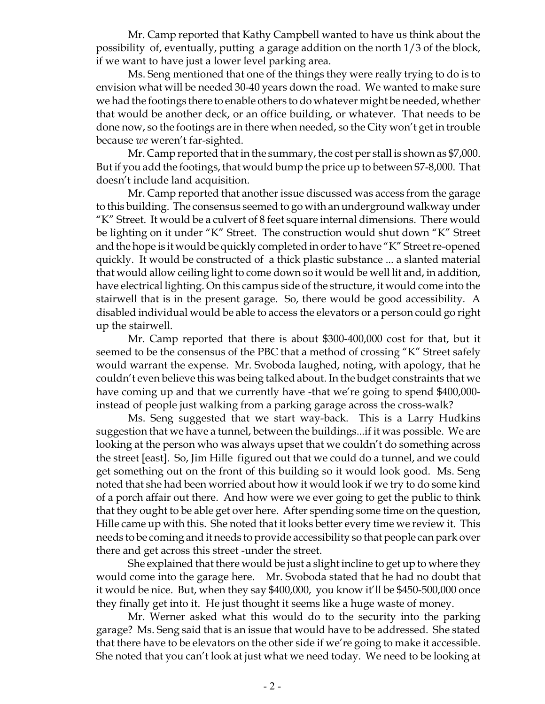Mr. Camp reported that Kathy Campbell wanted to have us think about the possibility of, eventually, putting a garage addition on the north 1/3 of the block, if we want to have just a lower level parking area.

Ms. Seng mentioned that one of the things they were really trying to do is to envision what will be needed 30-40 years down the road. We wanted to make sure we had the footings there to enable others to do whatever might be needed, whether that would be another deck, or an office building, or whatever. That needs to be done now, so the footings are in there when needed, so the City won't get in trouble because *we* weren't far-sighted.

Mr. Camp reported that in the summary, the cost per stall is shown as \$7,000. But if you add the footings, that would bump the price up to between \$7-8,000. That doesn't include land acquisition.

Mr. Camp reported that another issue discussed was access from the garage to this building. The consensus seemed to go with an underground walkway under "K" Street. It would be a culvert of 8 feet square internal dimensions. There would be lighting on it under "K" Street. The construction would shut down "K" Street and the hope is it would be quickly completed in order to have "K" Street re-opened quickly. It would be constructed of a thick plastic substance ... a slanted material that would allow ceiling light to come down so it would be well lit and, in addition, have electrical lighting. On this campus side of the structure, it would come into the stairwell that is in the present garage. So, there would be good accessibility. A disabled individual would be able to access the elevators or a person could go right up the stairwell.

Mr. Camp reported that there is about \$300-400,000 cost for that, but it seemed to be the consensus of the PBC that a method of crossing "K" Street safely would warrant the expense. Mr. Svoboda laughed, noting, with apology, that he couldn't even believe this was being talked about. In the budget constraints that we have coming up and that we currently have -that we're going to spend \$400,000 instead of people just walking from a parking garage across the cross-walk?

Ms. Seng suggested that we start way-back. This is a Larry Hudkins suggestion that we have a tunnel, between the buildings...if it was possible. We are looking at the person who was always upset that we couldn't do something across the street [east]. So, Jim Hille figured out that we could do a tunnel, and we could get something out on the front of this building so it would look good. Ms. Seng noted that she had been worried about how it would look if we try to do some kind of a porch affair out there. And how were we ever going to get the public to think that they ought to be able get over here. After spending some time on the question, Hille came up with this. She noted that it looks better every time we review it. This needs to be coming and it needs to provide accessibility so that people can park over there and get across this street -under the street.

She explained that there would be just a slight incline to get up to where they would come into the garage here. Mr. Svoboda stated that he had no doubt that it would be nice. But, when they say \$400,000, you know it'll be \$450-500,000 once they finally get into it. He just thought it seems like a huge waste of money.

Mr. Werner asked what this would do to the security into the parking garage? Ms. Seng said that is an issue that would have to be addressed. She stated that there have to be elevators on the other side if we're going to make it accessible. She noted that you can't look at just what we need today. We need to be looking at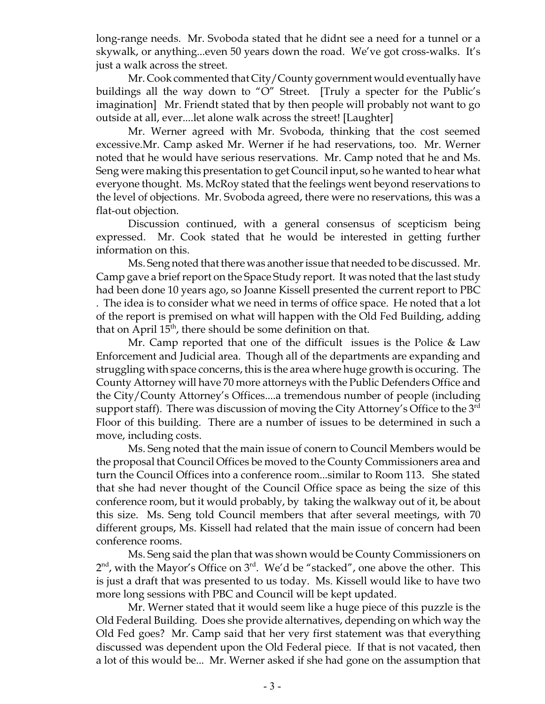long-range needs. Mr. Svoboda stated that he didnt see a need for a tunnel or a skywalk, or anything...even 50 years down the road. We've got cross-walks. It's just a walk across the street.

Mr. Cook commented that City/County government would eventually have buildings all the way down to "O" Street. [Truly a specter for the Public's imagination] Mr. Friendt stated that by then people will probably not want to go outside at all, ever....let alone walk across the street! [Laughter]

Mr. Werner agreed with Mr. Svoboda, thinking that the cost seemed excessive.Mr. Camp asked Mr. Werner if he had reservations, too. Mr. Werner noted that he would have serious reservations. Mr. Camp noted that he and Ms. Seng were making this presentation to get Council input, so he wanted to hear what everyone thought. Ms. McRoy stated that the feelings went beyond reservations to the level of objections. Mr. Svoboda agreed, there were no reservations, this was a flat-out objection.

Discussion continued, with a general consensus of scepticism being expressed. Mr. Cook stated that he would be interested in getting further information on this.

Ms. Seng noted that there was another issue that needed to be discussed. Mr. Camp gave a brief report on the Space Study report. It was noted that the last study had been done 10 years ago, so Joanne Kissell presented the current report to PBC . The idea is to consider what we need in terms of office space. He noted that a lot of the report is premised on what will happen with the Old Fed Building, adding that on April  $15<sup>th</sup>$ , there should be some definition on that.

Mr. Camp reported that one of the difficult issues is the Police & Law Enforcement and Judicial area. Though all of the departments are expanding and struggling with space concerns, this is the area where huge growth is occuring. The County Attorney will have 70 more attorneys with the Public Defenders Office and the City/County Attorney's Offices....a tremendous number of people (including support staff). There was discussion of moving the City Attorney's Office to the  $3<sup>rd</sup>$ Floor of this building. There are a number of issues to be determined in such a move, including costs.

Ms. Seng noted that the main issue of conern to Council Members would be the proposal that Council Offices be moved to the County Commissioners area and turn the Council Offices into a conference room...similar to Room 113. She stated that she had never thought of the Council Office space as being the size of this conference room, but it would probably, by taking the walkway out of it, be about this size. Ms. Seng told Council members that after several meetings, with 70 different groups, Ms. Kissell had related that the main issue of concern had been conference rooms.

Ms. Seng said the plan that was shown would be County Commissioners on  $2<sup>nd</sup>$ , with the Mayor's Office on  $3<sup>rd</sup>$ . We'd be "stacked", one above the other. This is just a draft that was presented to us today. Ms. Kissell would like to have two more long sessions with PBC and Council will be kept updated.

Mr. Werner stated that it would seem like a huge piece of this puzzle is the Old Federal Building. Does she provide alternatives, depending on which way the Old Fed goes? Mr. Camp said that her very first statement was that everything discussed was dependent upon the Old Federal piece. If that is not vacated, then a lot of this would be... Mr. Werner asked if she had gone on the assumption that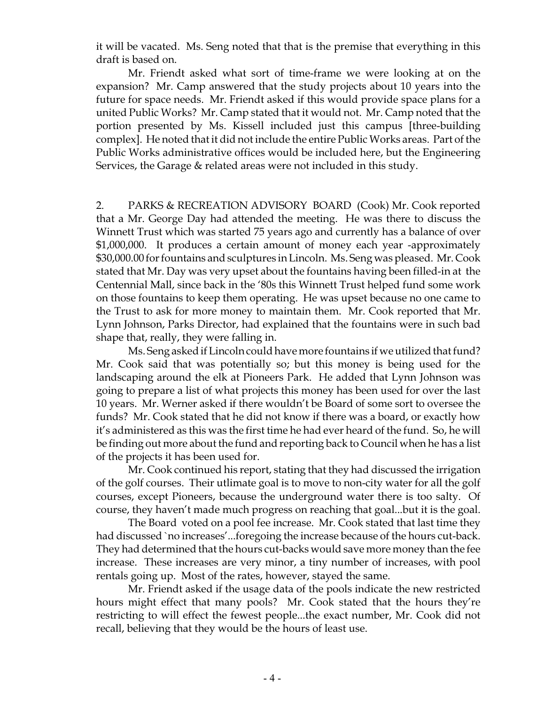it will be vacated. Ms. Seng noted that that is the premise that everything in this draft is based on.

Mr. Friendt asked what sort of time-frame we were looking at on the expansion? Mr. Camp answered that the study projects about 10 years into the future for space needs. Mr. Friendt asked if this would provide space plans for a united Public Works? Mr. Camp stated that it would not. Mr. Camp noted that the portion presented by Ms. Kissell included just this campus [three-building complex]. He noted that it did not include the entire Public Works areas. Part of the Public Works administrative offices would be included here, but the Engineering Services, the Garage & related areas were not included in this study.

2. PARKS & RECREATION ADVISORY BOARD (Cook) Mr. Cook reported that a Mr. George Day had attended the meeting. He was there to discuss the Winnett Trust which was started 75 years ago and currently has a balance of over \$1,000,000. It produces a certain amount of money each year -approximately \$30,000.00 for fountains and sculptures in Lincoln. Ms. Seng was pleased. Mr. Cook stated that Mr. Day was very upset about the fountains having been filled-in at the Centennial Mall, since back in the '80s this Winnett Trust helped fund some work on those fountains to keep them operating. He was upset because no one came to the Trust to ask for more money to maintain them. Mr. Cook reported that Mr. Lynn Johnson, Parks Director, had explained that the fountains were in such bad shape that, really, they were falling in.

Ms. Seng asked if Lincoln could have more fountains if we utilized that fund? Mr. Cook said that was potentially so; but this money is being used for the landscaping around the elk at Pioneers Park. He added that Lynn Johnson was going to prepare a list of what projects this money has been used for over the last 10 years. Mr. Werner asked if there wouldn't be Board of some sort to oversee the funds? Mr. Cook stated that he did not know if there was a board, or exactly how it's administered as this was the first time he had ever heard of the fund. So, he will be finding out more about the fund and reporting back to Council when he has a list of the projects it has been used for.

Mr. Cook continued his report, stating that they had discussed the irrigation of the golf courses. Their utlimate goal is to move to non-city water for all the golf courses, except Pioneers, because the underground water there is too salty. Of course, they haven't made much progress on reaching that goal...but it is the goal.

The Board voted on a pool fee increase. Mr. Cook stated that last time they had discussed `no increases'...foregoing the increase because of the hours cut-back. They had determined that the hours cut-backs would save more money than the fee increase. These increases are very minor, a tiny number of increases, with pool rentals going up. Most of the rates, however, stayed the same.

Mr. Friendt asked if the usage data of the pools indicate the new restricted hours might effect that many pools? Mr. Cook stated that the hours they're restricting to will effect the fewest people...the exact number, Mr. Cook did not recall, believing that they would be the hours of least use.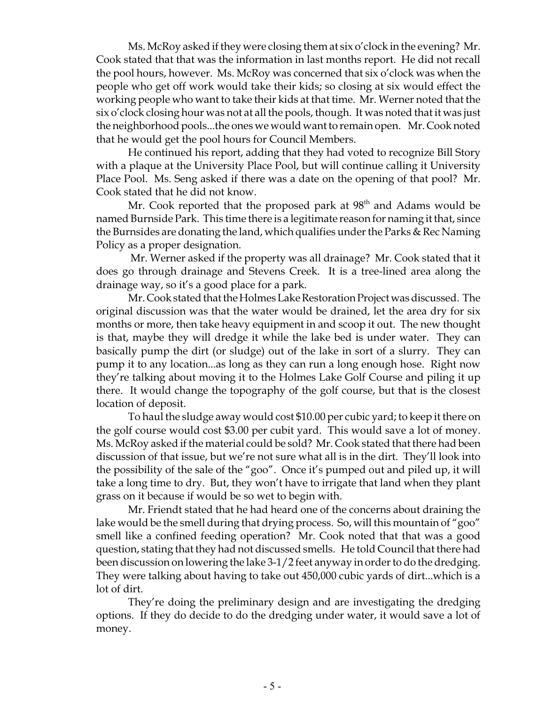Ms. McRoy asked if they were closing them at six o'clock in the evening? Mr. Cook stated that that was the information in last months report. He did not recall the pool hours, however. Ms. McRoy was concerned that six o'clock was when the people who get off work would take their kids; so closing at six would effect the working people who want to take their kids at that time. Mr. Werner noted that the six o'clock closing hour was not at all the pools, though. It was noted that it was just the neighborhood pools...the ones we would want to remain open. Mr. Cook noted that he would get the pool hours for Council Members.

He continued his report, adding that they had voted to recognize Bill Story with a plaque at the University Place Pool, but will continue calling it University Place Pool. Ms. Seng asked if there was a date on the opening of that pool? Mr. Cook stated that he did not know.

Mr. Cook reported that the proposed park at  $98<sup>th</sup>$  and Adams would be named Burnside Park. This time there is a legitimate reason for naming it that, since the Burnsides are donating the land, which qualifies under the Parks & Rec Naming Policy as a proper designation.

 Mr. Werner asked if the property was all drainage? Mr. Cook stated that it does go through drainage and Stevens Creek. It is a tree-lined area along the drainage way, so it's a good place for a park.

Mr. Cook stated that the Holmes Lake Restoration Project was discussed. The original discussion was that the water would be drained, let the area dry for six months or more, then take heavy equipment in and scoop it out. The new thought is that, maybe they will dredge it while the lake bed is under water. They can basically pump the dirt (or sludge) out of the lake in sort of a slurry. They can pump it to any location...as long as they can run a long enough hose. Right now they're talking about moving it to the Holmes Lake Golf Course and piling it up there. It would change the topography of the golf course, but that is the closest location of deposit.

To haul the sludge away would cost \$10.00 per cubic yard; to keep it there on the golf course would cost \$3.00 per cubit yard. This would save a lot of money. Ms. McRoy asked if the material could be sold? Mr. Cook stated that there had been discussion of that issue, but we're not sure what all is in the dirt. They'll look into the possibility of the sale of the "goo". Once it's pumped out and piled up, it will take a long time to dry. But, they won't have to irrigate that land when they plant grass on it because if would be so wet to begin with.

Mr. Friendt stated that he had heard one of the concerns about draining the lake would be the smell during that drying process. So, will this mountain of "goo" smell like a confined feeding operation? Mr. Cook noted that that was a good question, stating that they had not discussed smells. He told Council that there had been discussion on lowering the lake 3-1/2 feet anyway in order to do the dredging. They were talking about having to take out 450,000 cubic yards of dirt...which is a lot of dirt.

They're doing the preliminary design and are investigating the dredging options. If they do decide to do the dredging under water, it would save a lot of money.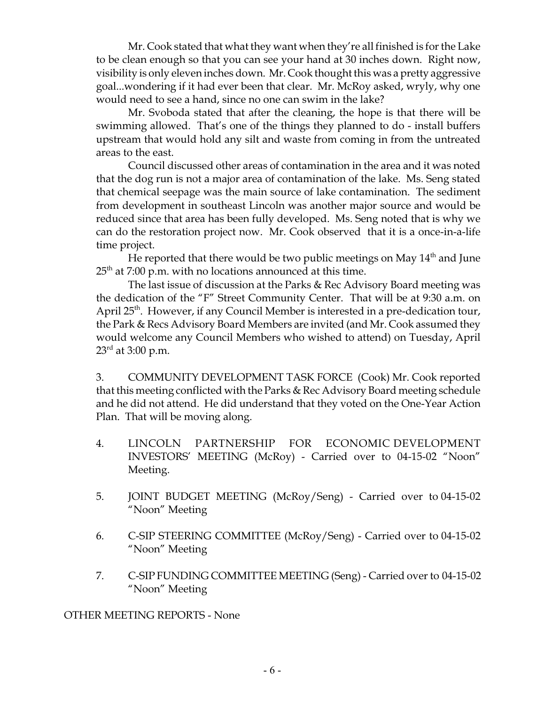Mr. Cook stated that what they want when they're all finished is for the Lake to be clean enough so that you can see your hand at 30 inches down. Right now, visibility is only eleven inches down. Mr. Cook thought this was a pretty aggressive goal...wondering if it had ever been that clear. Mr. McRoy asked, wryly, why one would need to see a hand, since no one can swim in the lake?

Mr. Svoboda stated that after the cleaning, the hope is that there will be swimming allowed. That's one of the things they planned to do - install buffers upstream that would hold any silt and waste from coming in from the untreated areas to the east.

Council discussed other areas of contamination in the area and it was noted that the dog run is not a major area of contamination of the lake. Ms. Seng stated that chemical seepage was the main source of lake contamination. The sediment from development in southeast Lincoln was another major source and would be reduced since that area has been fully developed. Ms. Seng noted that is why we can do the restoration project now. Mr. Cook observed that it is a once-in-a-life time project.

He reported that there would be two public meetings on May  $14<sup>th</sup>$  and June  $25<sup>th</sup>$  at 7:00 p.m. with no locations announced at this time.

The last issue of discussion at the Parks & Rec Advisory Board meeting was the dedication of the "F" Street Community Center. That will be at 9:30 a.m. on April 25<sup>th</sup>. However, if any Council Member is interested in a pre-dedication tour, the Park & Recs Advisory Board Members are invited (and Mr. Cook assumed they would welcome any Council Members who wished to attend) on Tuesday, April  $23^{\rm rd}$  at 3:00 p.m.

3. COMMUNITY DEVELOPMENT TASK FORCE (Cook) Mr. Cook reported that this meeting conflicted with the Parks & Rec Advisory Board meeting schedule and he did not attend. He did understand that they voted on the One-Year Action Plan. That will be moving along.

- 4. LINCOLN PARTNERSHIP FOR ECONOMIC DEVELOPMENT INVESTORS' MEETING (McRoy) - Carried over to 04-15-02 "Noon" Meeting.
- 5. JOINT BUDGET MEETING (McRoy/Seng) Carried over to 04-15-02 "Noon" Meeting
- 6. C-SIP STEERING COMMITTEE (McRoy/Seng) Carried over to 04-15-02 "Noon" Meeting
- 7. C-SIP FUNDING COMMITTEE MEETING (Seng) Carried over to 04-15-02 "Noon" Meeting

OTHER MEETING REPORTS - None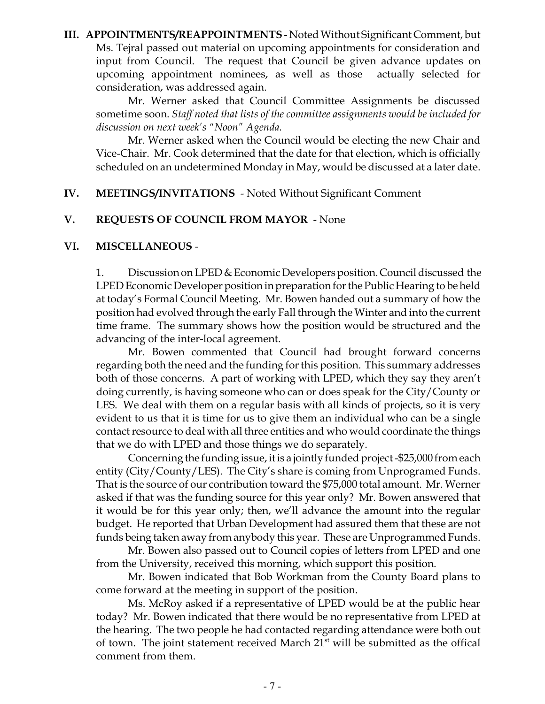**III. APPOINTMENTS/REAPPOINTMENTS** - Noted Without Significant Comment, but Ms. Tejral passed out material on upcoming appointments for consideration and input from Council. The request that Council be given advance updates on upcoming appointment nominees, as well as those actually selected for consideration, was addressed again.

Mr. Werner asked that Council Committee Assignments be discussed sometime soon. *Staff noted that lists of the committee assignments would be included for discussion on next week's "Noon" Agenda.*

Mr. Werner asked when the Council would be electing the new Chair and Vice-Chair. Mr. Cook determined that the date for that election, which is officially scheduled on an undetermined Monday in May, would be discussed at a later date.

## **IV. MEETINGS/INVITATIONS** - Noted Without Significant Comment

## **V. REQUESTS OF COUNCIL FROM MAYOR** - None

#### **VI. MISCELLANEOUS** -

1. Discussion on LPED & Economic Developers position. Council discussed the LPED Economic Developer position in preparation for the Public Hearing to be held at today's Formal Council Meeting. Mr. Bowen handed out a summary of how the position had evolved through the early Fall through the Winter and into the current time frame. The summary shows how the position would be structured and the advancing of the inter-local agreement.

Mr. Bowen commented that Council had brought forward concerns regarding both the need and the funding for this position. This summary addresses both of those concerns. A part of working with LPED, which they say they aren't doing currently, is having someone who can or does speak for the City/County or LES. We deal with them on a regular basis with all kinds of projects, so it is very evident to us that it is time for us to give them an individual who can be a single contact resource to deal with all three entities and who would coordinate the things that we do with LPED and those things we do separately.

Concerning the funding issue, it is a jointly funded project -\$25,000 from each entity (City/County/LES). The City's share is coming from Unprogramed Funds. That is the source of our contribution toward the \$75,000 total amount. Mr. Werner asked if that was the funding source for this year only? Mr. Bowen answered that it would be for this year only; then, we'll advance the amount into the regular budget. He reported that Urban Development had assured them that these are not funds being taken away from anybody this year. These are Unprogrammed Funds.

Mr. Bowen also passed out to Council copies of letters from LPED and one from the University, received this morning, which support this position.

Mr. Bowen indicated that Bob Workman from the County Board plans to come forward at the meeting in support of the position.

Ms. McRoy asked if a representative of LPED would be at the public hear today? Mr. Bowen indicated that there would be no representative from LPED at the hearing. The two people he had contacted regarding attendance were both out of town. The joint statement received March 21<sup>st</sup> will be submitted as the offical comment from them.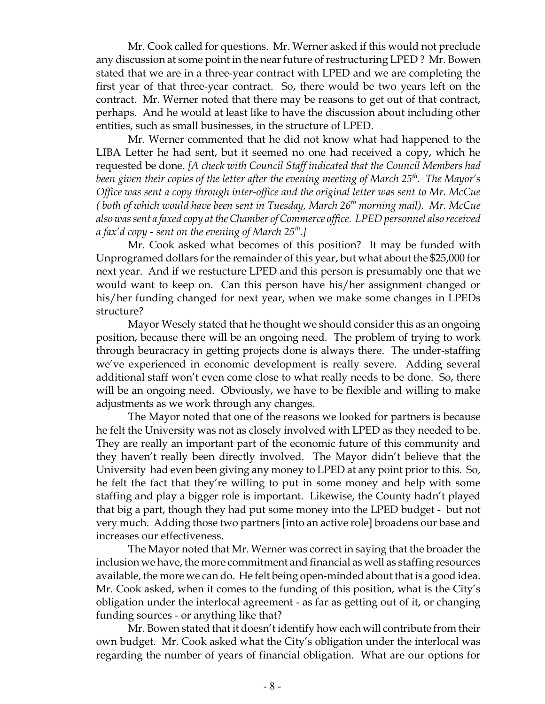Mr. Cook called for questions. Mr. Werner asked if this would not preclude any discussion at some point in the near future of restructuring LPED ? Mr. Bowen stated that we are in a three-year contract with LPED and we are completing the first year of that three-year contract. So, there would be two years left on the contract. Mr. Werner noted that there may be reasons to get out of that contract, perhaps. And he would at least like to have the discussion about including other entities, such as small businesses, in the structure of LPED.

Mr. Werner commented that he did not know what had happened to the LIBA Letter he had sent, but it seemed no one had received a copy, which he requested be done. *[A check with Council Staff indicated that the Council Members had* been given their copies of the letter after the evening meeting of March 25<sup>th</sup>. The Mayor's *Office was sent a copy through inter-office and the original letter was sent to Mr. McCue (both of which would have been sent in Tuesday, March 26<sup>th</sup> morning mail). Mr. McCue also was sent a faxed copy at the Chamber of Commerce office. LPED personnel also received a fax'd copy - sent on the evening of March 25th.]*

Mr. Cook asked what becomes of this position? It may be funded with Unprogramed dollars for the remainder of this year, but what about the \$25,000 for next year. And if we restucture LPED and this person is presumably one that we would want to keep on. Can this person have his/her assignment changed or his/her funding changed for next year, when we make some changes in LPEDs structure?

Mayor Wesely stated that he thought we should consider this as an ongoing position, because there will be an ongoing need. The problem of trying to work through beuracracy in getting projects done is always there. The under-staffing we've experienced in economic development is really severe. Adding several additional staff won't even come close to what really needs to be done. So, there will be an ongoing need. Obviously, we have to be flexible and willing to make adjustments as we work through any changes.

The Mayor noted that one of the reasons we looked for partners is because he felt the University was not as closely involved with LPED as they needed to be. They are really an important part of the economic future of this community and they haven't really been directly involved. The Mayor didn't believe that the University had even been giving any money to LPED at any point prior to this. So, he felt the fact that they're willing to put in some money and help with some staffing and play a bigger role is important. Likewise, the County hadn't played that big a part, though they had put some money into the LPED budget - but not very much. Adding those two partners [into an active role] broadens our base and increases our effectiveness.

The Mayor noted that Mr. Werner was correct in saying that the broader the inclusion we have, the more commitment and financial as well as staffing resources available, the more we can do. He felt being open-minded about that is a good idea. Mr. Cook asked, when it comes to the funding of this position, what is the City's obligation under the interlocal agreement - as far as getting out of it, or changing funding sources - or anything like that?

Mr. Bowen stated that it doesn't identify how each will contribute from their own budget. Mr. Cook asked what the City's obligation under the interlocal was regarding the number of years of financial obligation. What are our options for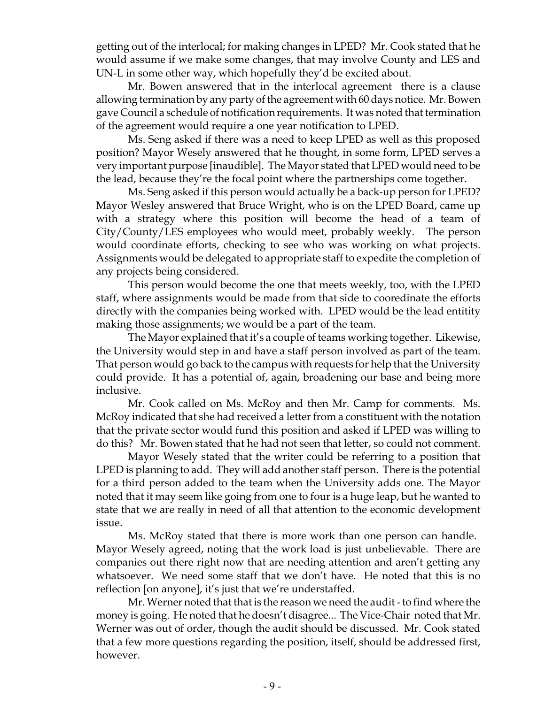getting out of the interlocal; for making changes in LPED? Mr. Cook stated that he would assume if we make some changes, that may involve County and LES and UN-L in some other way, which hopefully they'd be excited about.

Mr. Bowen answered that in the interlocal agreement there is a clause allowing termination by any party of the agreement with 60 days notice. Mr. Bowen gave Council a schedule of notification requirements. It was noted that termination of the agreement would require a one year notification to LPED.

Ms. Seng asked if there was a need to keep LPED as well as this proposed position? Mayor Wesely answered that he thought, in some form, LPED serves a very important purpose [inaudible]. The Mayor stated that LPED would need to be the lead, because they're the focal point where the partnerships come together.

Ms. Seng asked if this person would actually be a back-up person for LPED? Mayor Wesley answered that Bruce Wright, who is on the LPED Board, came up with a strategy where this position will become the head of a team of City/County/LES employees who would meet, probably weekly. The person would coordinate efforts, checking to see who was working on what projects. Assignments would be delegated to appropriate staff to expedite the completion of any projects being considered.

This person would become the one that meets weekly, too, with the LPED staff, where assignments would be made from that side to cooredinate the efforts directly with the companies being worked with. LPED would be the lead entitity making those assignments; we would be a part of the team.

The Mayor explained that it's a couple of teams working together. Likewise, the University would step in and have a staff person involved as part of the team. That person would go back to the campus with requests for help that the University could provide. It has a potential of, again, broadening our base and being more inclusive.

Mr. Cook called on Ms. McRoy and then Mr. Camp for comments. Ms. McRoy indicated that she had received a letter from a constituent with the notation that the private sector would fund this position and asked if LPED was willing to do this? Mr. Bowen stated that he had not seen that letter, so could not comment.

Mayor Wesely stated that the writer could be referring to a position that LPED is planning to add. They will add another staff person. There is the potential for a third person added to the team when the University adds one. The Mayor noted that it may seem like going from one to four is a huge leap, but he wanted to state that we are really in need of all that attention to the economic development issue.

Ms. McRoy stated that there is more work than one person can handle. Mayor Wesely agreed, noting that the work load is just unbelievable. There are companies out there right now that are needing attention and aren't getting any whatsoever. We need some staff that we don't have. He noted that this is no reflection [on anyone], it's just that we're understaffed.

Mr. Werner noted that that is the reason we need the audit - to find where the money is going. He noted that he doesn't disagree... The Vice-Chair noted that Mr. Werner was out of order, though the audit should be discussed. Mr. Cook stated that a few more questions regarding the position, itself, should be addressed first, however.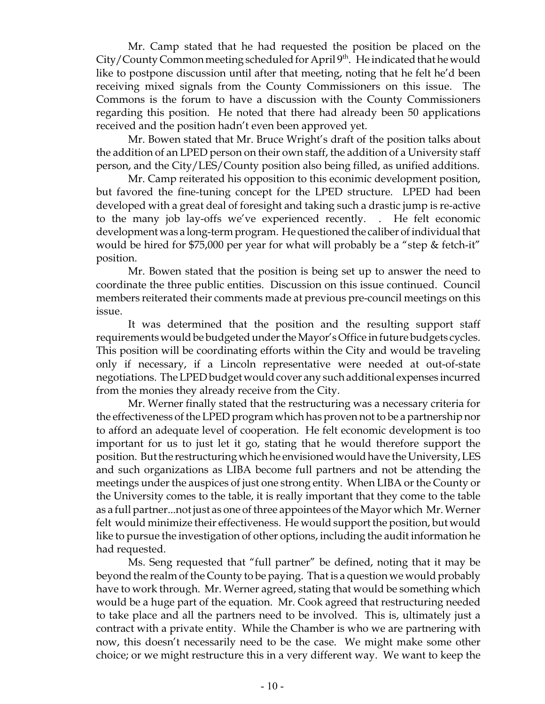Mr. Camp stated that he had requested the position be placed on the City/County Common meeting scheduled for April 9<sup>th</sup>. He indicated that he would like to postpone discussion until after that meeting, noting that he felt he'd been receiving mixed signals from the County Commissioners on this issue. The Commons is the forum to have a discussion with the County Commissioners regarding this position. He noted that there had already been 50 applications received and the position hadn't even been approved yet.

Mr. Bowen stated that Mr. Bruce Wright's draft of the position talks about the addition of an LPED person on their own staff, the addition of a University staff person, and the City/LES/County position also being filled, as unified additions.

Mr. Camp reiterated his opposition to this econimic development position, but favored the fine-tuning concept for the LPED structure. LPED had been developed with a great deal of foresight and taking such a drastic jump is re-active to the many job lay-offs we've experienced recently. . He felt economic development was a long-term program. He questioned the caliber of individual that would be hired for \$75,000 per year for what will probably be a "step & fetch-it" position.

Mr. Bowen stated that the position is being set up to answer the need to coordinate the three public entities. Discussion on this issue continued. Council members reiterated their comments made at previous pre-council meetings on this issue.

It was determined that the position and the resulting support staff requirements would be budgeted under the Mayor's Office in future budgets cycles. This position will be coordinating efforts within the City and would be traveling only if necessary, if a Lincoln representative were needed at out-of-state negotiations. The LPED budget would cover any such additional expenses incurred from the monies they already receive from the City.

Mr. Werner finally stated that the restructuring was a necessary criteria for the effectiveness of the LPED program which has proven not to be a partnership nor to afford an adequate level of cooperation. He felt economic development is too important for us to just let it go, stating that he would therefore support the position. But the restructuring which he envisioned would have the University, LES and such organizations as LIBA become full partners and not be attending the meetings under the auspices of just one strong entity. When LIBA or the County or the University comes to the table, it is really important that they come to the table as a full partner...not just as one of three appointees of the Mayor which Mr. Werner felt would minimize their effectiveness. He would support the position, but would like to pursue the investigation of other options, including the audit information he had requested.

Ms. Seng requested that "full partner" be defined, noting that it may be beyond the realm of the County to be paying. That is a question we would probably have to work through. Mr. Werner agreed, stating that would be something which would be a huge part of the equation. Mr. Cook agreed that restructuring needed to take place and all the partners need to be involved. This is, ultimately just a contract with a private entity. While the Chamber is who we are partnering with now, this doesn't necessarily need to be the case. We might make some other choice; or we might restructure this in a very different way. We want to keep the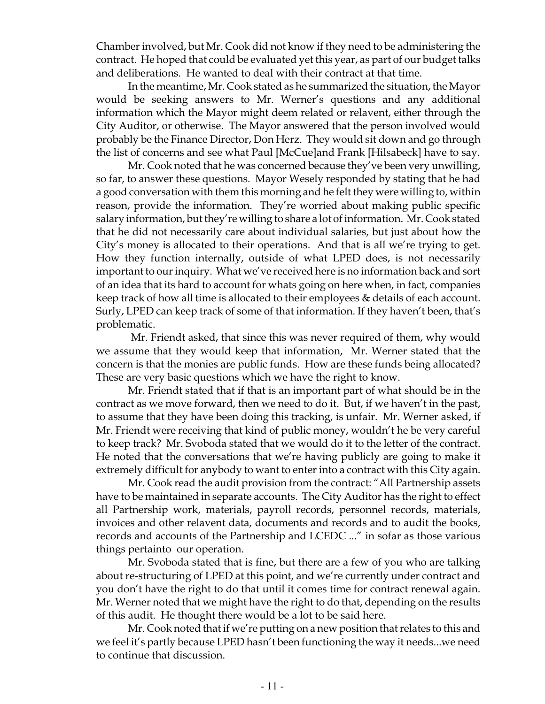Chamber involved, but Mr. Cook did not know if they need to be administering the contract. He hoped that could be evaluated yet this year, as part of our budget talks and deliberations. He wanted to deal with their contract at that time.

In the meantime, Mr. Cook stated as he summarized the situation, the Mayor would be seeking answers to Mr. Werner's questions and any additional information which the Mayor might deem related or relavent, either through the City Auditor, or otherwise. The Mayor answered that the person involved would probably be the Finance Director, Don Herz. They would sit down and go through the list of concerns and see what Paul [McCue]and Frank [Hilsabeck] have to say.

Mr. Cook noted that he was concerned because they've been very unwilling, so far, to answer these questions. Mayor Wesely responded by stating that he had a good conversation with them this morning and he felt they were willing to, within reason, provide the information. They're worried about making public specific salary information, but they're willing to share a lot of information. Mr. Cook stated that he did not necessarily care about individual salaries, but just about how the City's money is allocated to their operations. And that is all we're trying to get. How they function internally, outside of what LPED does, is not necessarily important to our inquiry. What we've received here is no information back and sort of an idea that its hard to account for whats going on here when, in fact, companies keep track of how all time is allocated to their employees & details of each account. Surly, LPED can keep track of some of that information. If they haven't been, that's problematic.

 Mr. Friendt asked, that since this was never required of them, why would we assume that they would keep that information, Mr. Werner stated that the concern is that the monies are public funds. How are these funds being allocated? These are very basic questions which we have the right to know.

Mr. Friendt stated that if that is an important part of what should be in the contract as we move forward, then we need to do it. But, if we haven't in the past, to assume that they have been doing this tracking, is unfair. Mr. Werner asked, if Mr. Friendt were receiving that kind of public money, wouldn't he be very careful to keep track? Mr. Svoboda stated that we would do it to the letter of the contract. He noted that the conversations that we're having publicly are going to make it extremely difficult for anybody to want to enter into a contract with this City again.

Mr. Cook read the audit provision from the contract: "All Partnership assets have to be maintained in separate accounts. The City Auditor has the right to effect all Partnership work, materials, payroll records, personnel records, materials, invoices and other relavent data, documents and records and to audit the books, records and accounts of the Partnership and LCEDC ..." in sofar as those various things pertainto our operation.

Mr. Svoboda stated that is fine, but there are a few of you who are talking about re-structuring of LPED at this point, and we're currently under contract and you don't have the right to do that until it comes time for contract renewal again. Mr. Werner noted that we might have the right to do that, depending on the results of this audit. He thought there would be a lot to be said here.

Mr. Cook noted that if we're putting on a new position that relates to this and we feel it's partly because LPED hasn't been functioning the way it needs...we need to continue that discussion.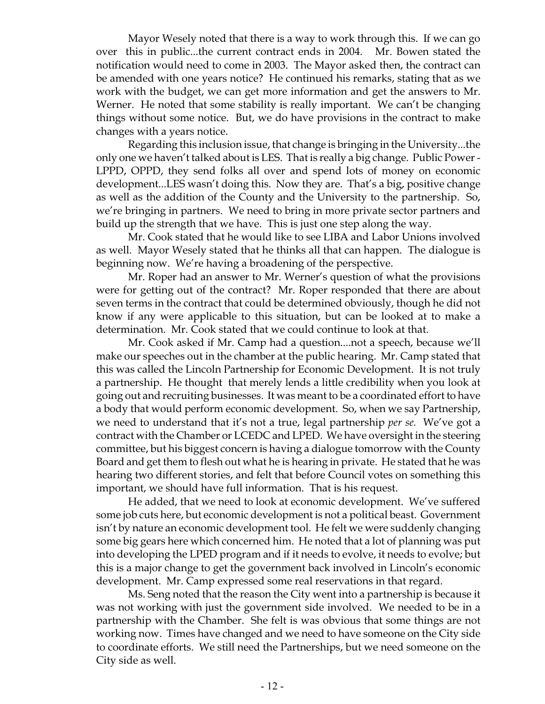Mayor Wesely noted that there is a way to work through this. If we can go over this in public...the current contract ends in 2004. Mr. Bowen stated the notification would need to come in 2003. The Mayor asked then, the contract can be amended with one years notice? He continued his remarks, stating that as we work with the budget, we can get more information and get the answers to Mr. Werner. He noted that some stability is really important. We can't be changing things without some notice. But, we do have provisions in the contract to make changes with a years notice.

Regarding this inclusion issue, that change is bringing in the University...the only one we haven't talked about is LES. That is really a big change. Public Power - LPPD, OPPD, they send folks all over and spend lots of money on economic development...LES wasn't doing this. Now they are. That's a big, positive change as well as the addition of the County and the University to the partnership. So, we're bringing in partners. We need to bring in more private sector partners and build up the strength that we have. This is just one step along the way.

Mr. Cook stated that he would like to see LIBA and Labor Unions involved as well. Mayor Wesely stated that he thinks all that can happen. The dialogue is beginning now. We're having a broadening of the perspective.

Mr. Roper had an answer to Mr. Werner's question of what the provisions were for getting out of the contract? Mr. Roper responded that there are about seven terms in the contract that could be determined obviously, though he did not know if any were applicable to this situation, but can be looked at to make a determination. Mr. Cook stated that we could continue to look at that.

Mr. Cook asked if Mr. Camp had a question....not a speech, because we'll make our speeches out in the chamber at the public hearing. Mr. Camp stated that this was called the Lincoln Partnership for Economic Development. It is not truly a partnership. He thought that merely lends a little credibility when you look at going out and recruiting businesses. It was meant to be a coordinated effort to have a body that would perform economic development. So, when we say Partnership, we need to understand that it's not a true, legal partnership *per se.* We've got a contract with the Chamber or LCEDC and LPED. We have oversight in the steering committee, but his biggest concern is having a dialogue tomorrow with the County Board and get them to flesh out what he is hearing in private. He stated that he was hearing two different stories, and felt that before Council votes on something this important, we should have full information. That is his request.

He added, that we need to look at economic development. We've suffered some job cuts here, but economic development is not a political beast. Government isn't by nature an economic development tool. He felt we were suddenly changing some big gears here which concerned him. He noted that a lot of planning was put into developing the LPED program and if it needs to evolve, it needs to evolve; but this is a major change to get the government back involved in Lincoln's economic development. Mr. Camp expressed some real reservations in that regard.

Ms. Seng noted that the reason the City went into a partnership is because it was not working with just the government side involved. We needed to be in a partnership with the Chamber. She felt is was obvious that some things are not working now. Times have changed and we need to have someone on the City side to coordinate efforts. We still need the Partnerships, but we need someone on the City side as well.